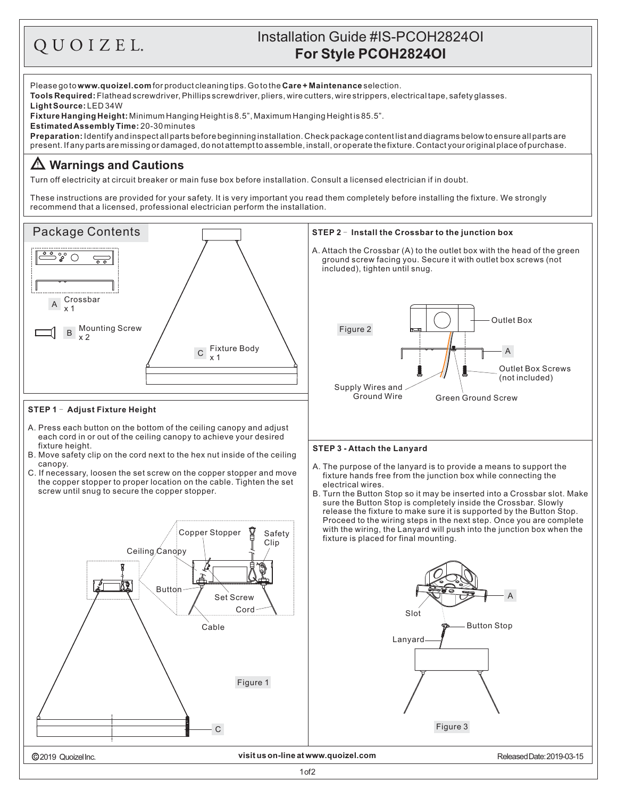